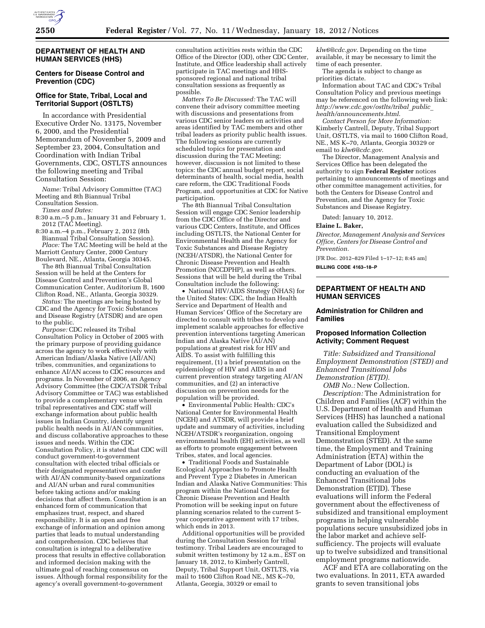

## **DEPARTMENT OF HEALTH AND HUMAN SERVICES (HHS)**

## **Centers for Disease Control and Prevention (CDC)**

### **Office for State, Tribal, Local and Territorial Support (OSTLTS)**

In accordance with Presidential Executive Order No. 13175, November 6, 2000, and the Presidential Memorandum of November 5, 2009 and September 23, 2004, Consultation and Coordination with Indian Tribal Governments, CDC, OSTLTS announces the following meeting and Tribal Consultation Session:

*Name:* Tribal Advisory Committee (TAC) Meeting and 8th Biannual Tribal Consultation Session. *Times and Dates:* 

8:30 a.m.–5 p.m., January 31 and February 1, 2012 (TAC Meeting).

8:30 a.m.–4 p.m., February 2, 2012 (8th Biannual Tribal Consultation Session). *Place:* The TAC Meeting will be held at the Marriott Century Center, 2000 Century

Boulevard, NE., Atlanta, Georgia 30345. The 8th Biannual Tribal Consultation

Session will be held at the Centers for Disease Control and Prevention's Global Communication Center, Auditorium B, 1600 Clifton Road, NE., Atlanta, Georgia 30329.

*Status:* The meetings are being hosted by CDC and the Agency for Toxic Substances and Disease Registry (ATSDR) and are open to the public.

*Purpose:* CDC released its Tribal Consultation Policy in October of 2005 with the primary purpose of providing guidance across the agency to work effectively with American Indian/Alaska Native (AII/AN) tribes, communities, and organizations to enhance AI/AN access to CDC resources and programs. In November of 2006, an Agency Advisory Committee (the CDC/ATSDR Tribal Advisory Committee or TAC) was established to provide a complementary venue wherein tribal representatives and CDC staff will exchange information about public health issues in Indian Country, identify urgent public health needs in AI/AN communities, and discuss collaborative approaches to these issues and needs. Within the CDC Consultation Policy, it is stated that CDC will conduct government-to-government consultation with elected tribal officials or their designated representatives and confer with AI/AN community-based organizations and AI/AN urban and rural communities before taking actions and/or making decisions that affect them. Consultation is an enhanced form of communication that emphasizes trust, respect, and shared responsibility. It is an open and free exchange of information and opinion among parties that leads to mutual understanding and comprehension. CDC believes that consultation is integral to a deliberative process that results in effective collaboration and informed decision making with the ultimate goal of reaching consensus on issues. Although formal responsibility for the agency's overall government-to-government

consultation activities rests within the CDC Office of the Director (OD), other CDC Center, Institute, and Office leadership shall actively participate in TAC meetings and HHSsponsored regional and national tribal consultation sessions as frequently as possible.

*Matters To Be Discussed:* The TAC will convene their advisory committee meeting with discussions and presentations from various CDC senior leaders on activities and areas identified by TAC members and other tribal leaders as priority public health issues. The following sessions are currently scheduled topics for presentation and discussion during the TAC Meeting; however, discussion is not limited to these topics: the CDC annual budget report, social determinants of health, social media, health care reform, the CDC Traditional Foods Program, and opportunities at CDC for Native participation.

The 8th Biannual Tribal Consultation Session will engage CDC Senior leadership from the CDC Office of the Director and various CDC Centers, Institute, and Offices including OSTLTS, the National Center for Environmental Health and the Agency for Toxic Substances and Disease Registry (NCEH/ATSDR), the National Center for Chronic Disease Prevention and Health Promotion (NCCDPHP), as well as others. Sessions that will be held during the Tribal Consultation include the following:

• National HIV/AIDS Strategy (NHAS) for the United States: CDC, the Indian Health Service and Department of Health and Human Services' Office of the Secretary are directed to consult with tribes to develop and implement scalable approaches for effective prevention interventions targeting American Indian and Alaska Native (AI/AN) populations at greatest risk for HIV and AIDS. To assist with fulfilling this requirement, (1) a brief presentation on the epidemiology of HIV and AIDS in and current prevention strategy targeting AI/AN communities, and (2) an interactive discussion on prevention needs for the population will be provided.

• Environmental Public Health: CDC's National Center for Environmental Health (NCEH) and ATSDR, will provide a brief update and summary of activities, including NCEH/ATSDR's reorganization, ongoing environmental health (EH) activities, as well as efforts to promote engagement between Tribes, states, and local agencies.

• Traditional Foods and Sustainable Ecological Approaches to Promote Health and Prevent Type 2 Diabetes in American Indian and Alaska Native Communities: This program within the National Center for Chronic Disease Prevention and Health Promotion will be seeking input on future planning scenarios related to the current 5 year cooperative agreement with 17 tribes, which ends in 2013.

Additional opportunities will be provided during the Consultation Session for tribal testimony. Tribal Leaders are encouraged to submit written testimony by 12 a.m., EST on January 18, 2012, to Kimberly Cantrell, Deputy, Tribal Support Unit, OSTLTS, via mail to 1600 Clifton Road NE., MS K–70, Atlanta, Georgia, 30329 or email to

*[klw6@cdc.gov](mailto:klw6@cdc.gov)*. Depending on the time available, it may be necessary to limit the time of each presenter.

The agenda is subject to change as priorities dictate.

Information about TAC and CDC's Tribal Consultation Policy and previous meetings may be referenced on the following web link: *[http://www.cdc.gov/ostlts/tribal](http://www.cdc.gov/ostlts/tribal_public_health/announcements.html)*\_*public*\_ *[health/announcements.html](http://www.cdc.gov/ostlts/tribal_public_health/announcements.html)*.

*Contact Person for More Information:*  Kimberly Cantrell, Deputy, Tribal Support Unit, OSTLTS, via mail to 1600 Clifton Road, NE., MS K–70, Atlanta, Georgia 30329 or email to *[klw6@cdc.gov](mailto:klw6@cdc.gov)*.

The Director, Management Analysis and Services Office has been delegated the authority to sign **Federal Register** notices pertaining to announcements of meetings and other committee management activities, for both the Centers for Disease Control and Prevention, and the Agency for Toxic Substances and Disease Registry.

Dated: January 10, 2012.

#### **Elaine L. Baker,**

*Director, Management Analysis and Services Office, Centers for Disease Control and Prevention.* 

[FR Doc. 2012–829 Filed 1–17–12; 8:45 am]

**BILLING CODE 4163–18–P** 

### **DEPARTMENT OF HEALTH AND HUMAN SERVICES**

### **Administration for Children and Families**

## **Proposed Information Collection Activity; Comment Request**

*Title: Subsidized and Transitional Employment Demonstration (STED) and Enhanced Transitional Jobs Demonstration (ETJD).* 

*OMB No.:* New Collection. *Description:* The Administration for

Children and Families (ACF) within the U.S. Department of Health and Human Services (HHS) has launched a national evaluation called the Subsidized and Transitional Employment Demonstration (STED). At the same time, the Employment and Training Administration (ETA) within the Department of Labor (DOL) is conducting an evaluation of the Enhanced Transitional Jobs Demonstration (ETJD). These evaluations will inform the Federal government about the effectiveness of subsidized and transitional employment programs in helping vulnerable populations secure unsubsidized jobs in the labor market and achieve selfsufficiency. The projects will evaluate up to twelve subsidized and transitional employment programs nationwide.

ACF and ETA are collaborating on the two evaluations. In 2011, ETA awarded grants to seven transitional jobs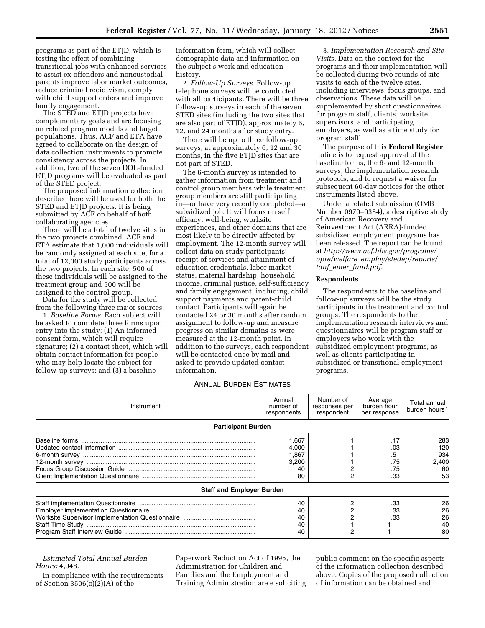programs as part of the ETJD, which is testing the effect of combining transitional jobs with enhanced services to assist ex-offenders and noncustodial parents improve labor market outcomes, reduce criminal recidivism, comply with child support orders and improve family engagement.

The STED and ETJD projects have complementary goals and are focusing on related program models and target populations. Thus, ACF and ETA have agreed to collaborate on the design of data collection instruments to promote consistency across the projects. In addition, two of the seven DOL-funded ETJD programs will be evaluated as part of the STED project.

The proposed information collection described here will be used for both the STED and ETJD projects. It is being submitted by ACF on behalf of both collaborating agencies.

There will be a total of twelve sites in the two projects combined. ACF and ETA estimate that 1,000 individuals will be randomly assigned at each site, for a total of 12,000 study participants across the two projects. In each site, 500 of these individuals will be assigned to the treatment group and 500 will be assigned to the control group.

Data for the study will be collected from the following three major sources:

1. *Baseline Forms.* Each subject will be asked to complete three forms upon entry into the study: (1) An informed consent form, which will require signature; (2) a contact sheet, which will obtain contact information for people who may help locate the subject for follow-up surveys; and (3) a baseline

information form, which will collect demographic data and information on the subject's work and education history.

2. *Follow-Up Surveys.* Follow-up telephone surveys will be conducted with all participants. There will be three follow-up surveys in each of the seven STED sites (including the two sites that are also part of ETJD), approximately 6, 12, and 24 months after study entry.

There will be up to three follow-up surveys, at approximately 6, 12 and 30 months, in the five ETJD sites that are not part of STED.

The 6-month survey is intended to gather information from treatment and control group members while treatment group members are still participating in—or have very recently completed—a subsidized job. It will focus on self efficacy, well-being, worksite experiences, and other domains that are most likely to be directly affected by employment. The 12-month survey will collect data on study participants' receipt of services and attainment of education credentials, labor market status, material hardship, household income, criminal justice, self-sufficiency and family engagement, including, child support payments and parent-child contact. Participants will again be contacted 24 or 30 months after random assignment to follow-up and measure progress on similar domains as were measured at the 12-month point. In addition to the surveys, each respondent will be contacted once by mail and asked to provide updated contact information.

3. *Implementation Research and Site Visits.* Data on the context for the programs and their implementation will be collected during two rounds of site visits to each of the twelve sites, including interviews, focus groups, and observations. These data will be supplemented by short questionnaires for program staff, clients, worksite supervisors, and participating employers, as well as a time study for program staff.

The purpose of this **Federal Register**  notice is to request approval of the baseline forms, the 6- and 12-month surveys, the implementation research protocols, and to request a waiver for subsequent 60-day notices for the other instruments listed above.

Under a related submission (OMB Number 0970–0384), a descriptive study of American Recovery and Reinvestment Act (ARRA)-funded subsidized employment programs has been released. The report can be found at *[http://www.acf.hhs.gov/programs/](http://www.acf.hhs.gov/programs/opre/welfare_employ/stedep/reports/tanf_emer_fund.pdf) opre/welfare*\_*[employ/stedep/reports/](http://www.acf.hhs.gov/programs/opre/welfare_employ/stedep/reports/tanf_emer_fund.pdf)  tanf*\_*emer*\_*[fund.pdf.](http://www.acf.hhs.gov/programs/opre/welfare_employ/stedep/reports/tanf_emer_fund.pdf)* 

### **Respondents**

The respondents to the baseline and follow-up surveys will be the study participants in the treatment and control groups. The respondents to the implementation research interviews and questionnaires will be program staff or employers who work with the subsidized employment programs, as well as clients participating in subsidized or transitional employment programs.

### ANNUAL BURDEN ESTIMATES

| Instrument                       | Annual<br>number of<br>respondents           | Number of<br>responses per<br>respondent | Average<br>burden hour<br>per response | Total annual<br>burden hours <sup>1</sup> |
|----------------------------------|----------------------------------------------|------------------------------------------|----------------------------------------|-------------------------------------------|
| <b>Participant Burden</b>        |                                              |                                          |                                        |                                           |
| <b>Staff and Employer Burden</b> | 1.667<br>4,000<br>1,867<br>3,200<br>40<br>80 |                                          | .17<br>.03<br>.5<br>.75<br>.75<br>.33  | 283<br>120<br>934<br>2.400<br>60<br>53    |
|                                  | 40                                           |                                          | .33                                    | 26                                        |
|                                  | 40<br>40<br>40<br>40                         |                                          | .33<br>.33                             | 26<br>26<br>40<br>80                      |

## *Estimated Total Annual Burden Hours:* 4,048.

In compliance with the requirements of Section 3506(c)(2)(A) of the

Paperwork Reduction Act of 1995, the Administration for Children and Families and the Employment and Training Administration are e soliciting

public comment on the specific aspects of the information collection described above. Copies of the proposed collection of information can be obtained and